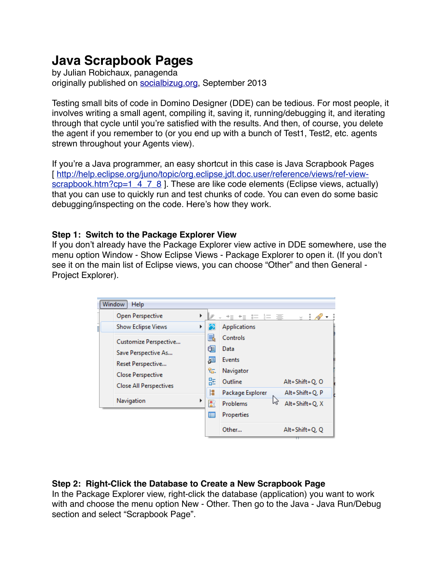# **Java Scrapbook Pages**

by Julian Robichaux, panagenda originally published on [socialbizug.org](http://socialbizug.org), September 2013

Testing small bits of code in Domino Designer (DDE) can be tedious. For most people, it involves writing a small agent, compiling it, saving it, running/debugging it, and iterating through that cycle until you're satisfied with the results. And then, of course, you delete the agent if you remember to (or you end up with a bunch of Test1, Test2, etc. agents strewn throughout your Agents view).

If you're a Java programmer, an easy shortcut in this case is Java Scrapbook Pages [\[ http://help.eclipse.org/juno/topic/org.eclipse.jdt.doc.user/reference/views/ref-view](http://help.eclipse.org/juno/topic/org.eclipse.jdt.doc.user/reference/views/ref-view-scrapbook.htm?cp=1_4_7_8)[scrapbook.htm?cp=1\\_4\\_7\\_8](http://help.eclipse.org/juno/topic/org.eclipse.jdt.doc.user/reference/views/ref-view-scrapbook.htm?cp=1_4_7_8) ]. These are like code elements (Eclipse views, actually) that you can use to quickly run and test chunks of code. You can even do some basic debugging/inspecting on the code. Here's how they work.

### **Step 1: Switch to the Package Explorer View**

If you don't already have the Package Explorer view active in DDE somewhere, use the menu option Window - Show Eclipse Views - Package Explorer to open it. (If you don't see it on the main list of Eclipse views, you can choose "Other" and then General - Project Explorer).

| Window<br>Help |                                                  |                        |                                |                |  |  |  |  |
|----------------|--------------------------------------------------|------------------------|--------------------------------|----------------|--|--|--|--|
|                | Open Perspective<br>▶                            |                        | 非 三<br>$\approx$<br>$+ \equiv$ | - 21<br>v.     |  |  |  |  |
|                | <b>Show Eclipse Views</b><br>Þ                   | 夙                      | Applications                   |                |  |  |  |  |
|                | Customize Perspective                            | b<br>œ<br>眉<br>ڻ.<br>몙 | Controls                       |                |  |  |  |  |
|                | Save Perspective As                              |                        | Data                           |                |  |  |  |  |
|                | Reset Perspective                                |                        | Events                         |                |  |  |  |  |
|                | <b>Close Perspective</b>                         |                        | Navigator                      |                |  |  |  |  |
|                | <b>Close All Perspectives</b><br>Navigation<br>Þ |                        | Outline                        | Alt+Shift+Q, Q |  |  |  |  |
|                |                                                  | 閳                      | Package Explorer               | Alt+Shift+Q, P |  |  |  |  |
|                |                                                  | 圕                      | ぺ<br>Problems                  | Alt+Shift+Q, X |  |  |  |  |
|                |                                                  | 肩                      | Properties                     |                |  |  |  |  |
|                |                                                  |                        | Other                          | Alt+Shift+Q, Q |  |  |  |  |

# **Step 2: Right-Click the Database to Create a New Scrapbook Page**

In the Package Explorer view, right-click the database (application) you want to work with and choose the menu option New - Other. Then go to the Java - Java Run/Debug section and select "Scrapbook Page".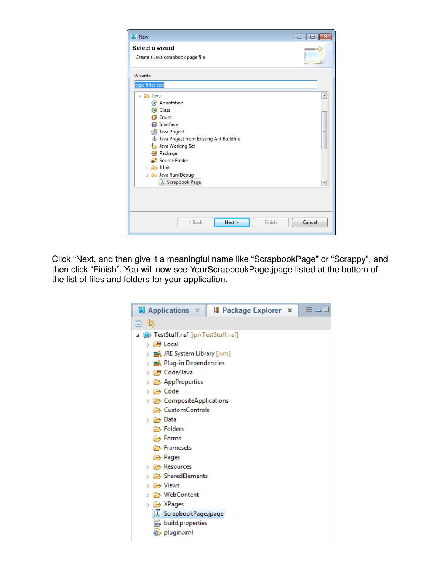| <b>B</b> New                               | $\Box$<br>$\qquad \qquad \Box$ |
|--------------------------------------------|--------------------------------|
| Select a wizard                            |                                |
| Create a Java scrapbook page file          |                                |
|                                            |                                |
| Wizards:                                   |                                |
| type filter text                           |                                |
| <b>B</b> Java<br>$\mathcal{A}$             | Ā                              |
| Annotation                                 |                                |
| <b>C</b> Class                             |                                |
| <b>曾 Enum</b>                              |                                |
| Interface                                  |                                |
| Java Project                               | Ξ                              |
| ※ Java Project from Existing Ant Buildfile |                                |
| Java Working Set                           |                                |
| <b>IP</b> Package                          |                                |
| Source Folder                              |                                |
| 户 JUnit<br>Ы                               |                                |
| Java Run/Debug                             |                                |
| J Scrapbook Page                           |                                |
|                                            |                                |
|                                            |                                |
|                                            |                                |
|                                            |                                |
| Finish<br>Next<br>< Back                   | Cancel                         |
|                                            |                                |

Click "Next, and then give it a meaningful name like "ScrapbookPage" or "Scrappy", and then click "Finish". You will now see YourScrapbookPage.jpage listed at the bottom of the list of files and folders for your application.

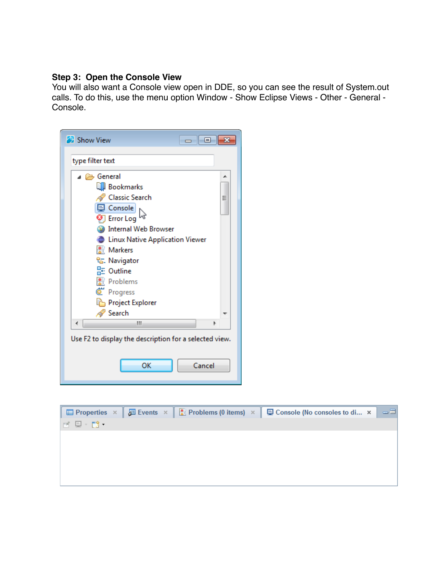#### **Step 3: Open the Console View**

You will also want a Console view open in DDE, so you can see the result of System.out calls. To do this, use the menu option Window - Show Eclipse Views - Other - General - Console.

| <b>外</b> Show View<br>$\Box$ $\Box$                                                                                                                                                                                                                                     |
|-------------------------------------------------------------------------------------------------------------------------------------------------------------------------------------------------------------------------------------------------------------------------|
| type filter text                                                                                                                                                                                                                                                        |
| ⊿ <del>⊘</del> General<br>┻<br><b>QI</b> Bookmarks<br><b>Classic Search</b><br>Ξ<br>Console<br><b>D</b> Error Log<br><b>Internal Web Browser</b><br>Linux Native Application Viewer<br>용 Markers<br><sup>ද</sup> ය. Navigator<br>l는 Outline<br>룄 Problems<br>C Progress |
| Project Explorer<br>Search<br>Ш<br>Þ<br>Use F2 to display the description for a selected view.                                                                                                                                                                          |
| OK<br>Cancel                                                                                                                                                                                                                                                            |

|                                |  | $\Box$ Properties × $\Box$ Events × $\Box$ Problems (0 items) × $\Box$ Console (No consoles to di × | - 그리 |
|--------------------------------|--|-----------------------------------------------------------------------------------------------------|------|
| $\mathbb{R} \oplus \mathbb{R}$ |  |                                                                                                     |      |
|                                |  |                                                                                                     |      |
|                                |  |                                                                                                     |      |
|                                |  |                                                                                                     |      |
|                                |  |                                                                                                     |      |
|                                |  |                                                                                                     |      |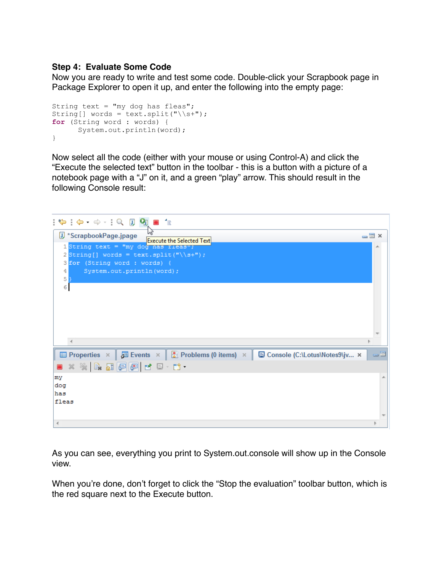#### **Step 4: Evaluate Some Code**

Now you are ready to write and test some code. Double-click your Scrapbook page in Package Explorer to open it up, and enter the following into the empty page:

```
String text = "my dog has fleas"; 
String[] words = text.split("\\s+");
for (String word : words) { 
       System.out.println(word); 
}
```
Now select all the code (either with your mouse or using Control-A) and click the "Execute the selected text" button in the toolbar - this is a button with a picture of a notebook page with a "J" on it, and a green "play" arrow. This should result in the following Console result:



As you can see, everything you print to System.out.console will show up in the Console view.

When you're done, don't forget to click the "Stop the evaluation" toolbar button, which is the red square next to the Execute button.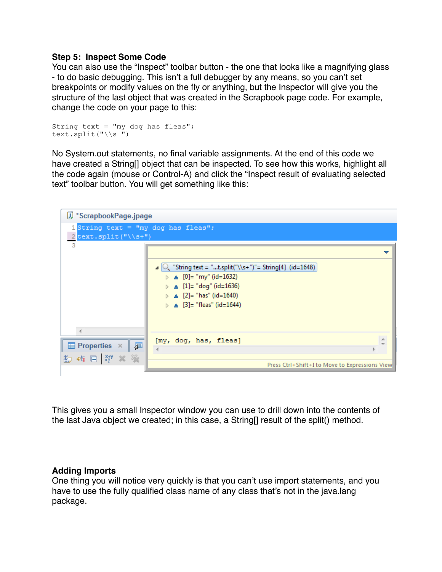#### **Step 5: Inspect Some Code**

You can also use the "Inspect" toolbar button - the one that looks like a magnifying glass - to do basic debugging. This isn't a full debugger by any means, so you can't set breakpoints or modify values on the fly or anything, but the Inspector will give you the structure of the last object that was created in the Scrapbook page code. For example, change the code on your page to this:

```
String text = "my dog has fleas"; 
text.split("\backslashs+")
```
No System.out statements, no final variable assignments. At the end of this code we have created a String[] object that can be inspected. To see how this works, highlight all the code again (mouse or Control-A) and click the "Inspect result of evaluating selected text" toolbar button. You will get something like this:



This gives you a small Inspector window you can use to drill down into the contents of the last Java object we created; in this case, a String[] result of the split() method.

#### **Adding Imports**

One thing you will notice very quickly is that you can't use import statements, and you have to use the fully qualified class name of any class that's not in the java.lang package.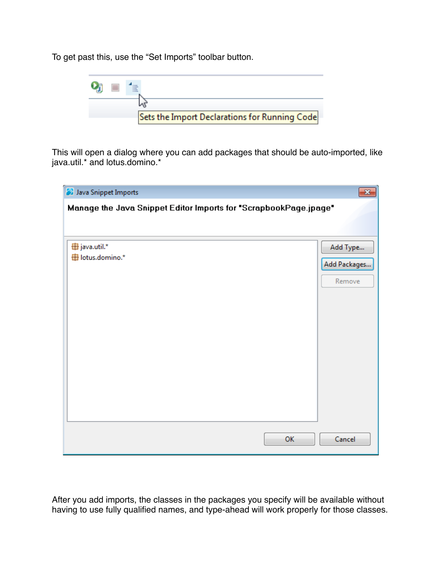To get past this, use the "Set Imports" toolbar button.



This will open a dialog where you can add packages that should be auto-imported, like java.util.\* and lotus.domino.\*

| <b>3</b> Java Snippet Imports<br>$\mathbf{x}$                    |              |  |  |  |  |  |
|------------------------------------------------------------------|--------------|--|--|--|--|--|
| Manage the Java Snippet Editor Imports for "ScrapbookPage.jpage" |              |  |  |  |  |  |
|                                                                  |              |  |  |  |  |  |
| $\bigoplus$ java.util.*                                          | Add Type     |  |  |  |  |  |
| Hotus.domino.*                                                   | Add Packages |  |  |  |  |  |
|                                                                  |              |  |  |  |  |  |
|                                                                  | Remove       |  |  |  |  |  |
|                                                                  |              |  |  |  |  |  |
|                                                                  |              |  |  |  |  |  |
|                                                                  |              |  |  |  |  |  |
|                                                                  |              |  |  |  |  |  |
|                                                                  |              |  |  |  |  |  |
|                                                                  |              |  |  |  |  |  |
|                                                                  |              |  |  |  |  |  |
|                                                                  |              |  |  |  |  |  |
|                                                                  |              |  |  |  |  |  |
|                                                                  |              |  |  |  |  |  |
| OK                                                               | Cancel       |  |  |  |  |  |

After you add imports, the classes in the packages you specify will be available without having to use fully qualified names, and type-ahead will work properly for those classes.